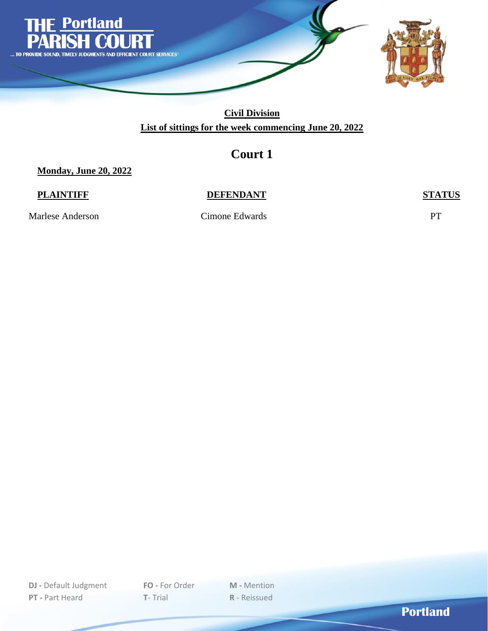

## **Court 1**

**Monday, June 20, 2022**

#### **PLAINTIFF DEFENDANT STATUS**

Marlese Anderson Cimone Edwards PT

**DJ -** Default Judgment **FO -** For Order **M -** Mention **PT -** Part Heard **T**- Trial **R** - Reissued

**Portland**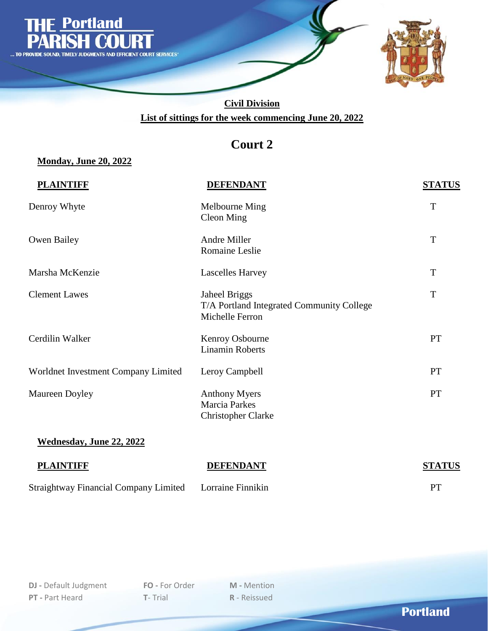

# **Court 2**

### **Monday, June 20, 2022**

| <b>PLAINTIFF</b>                    | <b>DEFENDANT</b>                                                              | <b>STATUS</b> |
|-------------------------------------|-------------------------------------------------------------------------------|---------------|
| Denroy Whyte                        | Melbourne Ming<br><b>Cleon Ming</b>                                           | T             |
| Owen Bailey                         | Andre Miller<br>Romaine Leslie                                                | T             |
| Marsha McKenzie                     | <b>Lascelles Harvey</b>                                                       | $\mathbf T$   |
| <b>Clement Lawes</b>                | Jaheel Briggs<br>T/A Portland Integrated Community College<br>Michelle Ferron | T             |
| Cerdilin Walker                     | Kenroy Osbourne<br><b>Linamin Roberts</b>                                     | PT            |
| Worldnet Investment Company Limited | Leroy Campbell                                                                | PT            |
| Maureen Doyley                      | <b>Anthony Myers</b><br><b>Marcia Parkes</b><br><b>Christopher Clarke</b>     | <b>PT</b>     |
| <b>Wednesday, June 22, 2022</b>     |                                                                               |               |

| <b>PLAINTIFF</b>                                        | <b>DEFENDANT</b> | <b>STATUS</b> |
|---------------------------------------------------------|------------------|---------------|
| Straightway Financial Company Limited Lorraine Finnikin |                  | PТ            |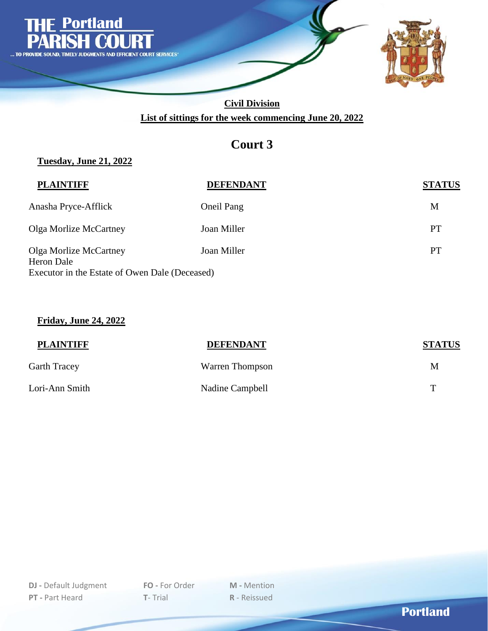

## **Court 3**

### **Tuesday, June 21, 2022**

| <b>PLAINTIFF</b>                                                                              | <b>DEFENDANT</b> | <b>STATUS</b> |
|-----------------------------------------------------------------------------------------------|------------------|---------------|
| Anasha Pryce-Afflick                                                                          | Oneil Pang       | M             |
| Olga Morlize McCartney                                                                        | Joan Miller      | PT            |
| Olga Morlize McCartney<br><b>Heron Dale</b><br>Executor in the Estate of Owen Dale (Deceased) | Joan Miller      | PT            |
|                                                                                               |                  |               |

#### **Friday, June 24, 2022**

| <b>PLAINTIFF</b> | <b>DEFENDANT</b> | <b>STATUS</b> |
|------------------|------------------|---------------|
| Garth Tracey     | Warren Thompson  | M             |
| Lori-Ann Smith   | Nadine Campbell  | т             |

**Portland**